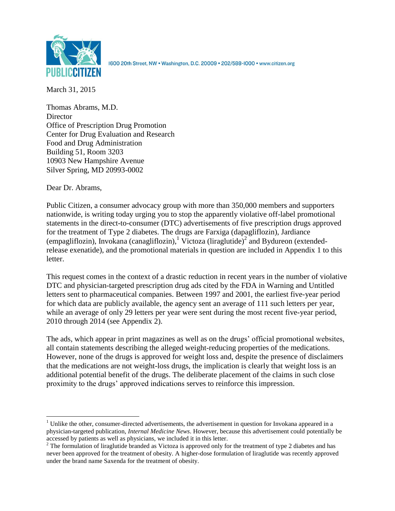

1600 20th Street, NW · Washington, D.C. 20009 · 202/588-1000 · www.citizen.org

March 31, 2015

Thomas Abrams, M.D. **Director** Office of Prescription Drug Promotion Center for Drug Evaluation and Research Food and Drug Administration Building 51, Room 3203 10903 New Hampshire Avenue Silver Spring, MD 20993-0002

Dear Dr. Abrams,

l

Public Citizen, a consumer advocacy group with more than 350,000 members and supporters nationwide, is writing today urging you to stop the apparently violative off-label promotional statements in the direct-to-consumer (DTC) advertisements of five prescription drugs approved for the treatment of Type 2 diabetes. The drugs are Farxiga (dapagliflozin), Jardiance (empagliflozin), Invokana (canagliflozin), Victoza (liraglutide)<sup>2</sup> and Bydureon (extendedrelease exenatide), and the promotional materials in question are included in Appendix 1 to this letter.

This request comes in the context of a drastic reduction in recent years in the number of violative DTC and physician-targeted prescription drug ads cited by the FDA in Warning and Untitled letters sent to pharmaceutical companies. Between 1997 and 2001, the earliest five-year period for which data are publicly available, the agency sent an average of 111 such letters per year, while an average of only 29 letters per year were sent during the most recent five-year period, 2010 through 2014 (see Appendix 2).

The ads, which appear in print magazines as well as on the drugs' official promotional websites, all contain statements describing the alleged weight-reducing properties of the medications. However, none of the drugs is approved for weight loss and, despite the presence of disclaimers that the medications are not weight-loss drugs, the implication is clearly that weight loss is an additional potential benefit of the drugs. The deliberate placement of the claims in such close proximity to the drugs' approved indications serves to reinforce this impression.

 $<sup>1</sup>$  Unlike the other, consumer-directed advertisements, the advertisement in question for Invokana appeared in a</sup> physician-targeted publication, *Internal Medicine News*. However, because this advertisement could potentially be accessed by patients as well as physicians, we included it in this letter.

<sup>&</sup>lt;sup>2</sup> The formulation of liraglutide branded as Victoza is approved only for the treatment of type 2 diabetes and has never been approved for the treatment of obesity. A higher-dose formulation of liraglutide was recently approved under the brand name Saxenda for the treatment of obesity.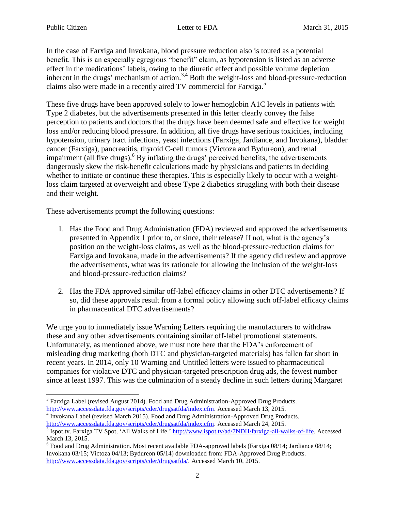In the case of Farxiga and Invokana, blood pressure reduction also is touted as a potential benefit. This is an especially egregious "benefit" claim, as hypotension is listed as an adverse effect in the medications' labels, owing to the diuretic effect and possible volume depletion inherent in the drugs' mechanism of action.<sup>3,4</sup> Both the weight-loss and blood-pressure-reduction claims also were made in a recently aired TV commercial for Farxiga.<sup>5</sup>

These five drugs have been approved solely to lower hemoglobin A1C levels in patients with Type 2 diabetes, but the advertisements presented in this letter clearly convey the false perception to patients and doctors that the drugs have been deemed safe and effective for weight loss and/or reducing blood pressure. In addition, all five drugs have serious toxicities, including hypotension, urinary tract infections, yeast infections (Farxiga, Jardiance, and Invokana), bladder cancer (Farxiga), pancreatitis, thyroid C-cell tumors (Victoza and Bydureon), and renal impairment (all five drugs). <sup>6</sup> By inflating the drugs' perceived benefits, the advertisements dangerously skew the risk-benefit calculations made by physicians and patients in deciding whether to initiate or continue these therapies. This is especially likely to occur with a weightloss claim targeted at overweight and obese Type 2 diabetics struggling with both their disease and their weight.

These advertisements prompt the following questions:

- 1. Has the Food and Drug Administration (FDA) reviewed and approved the advertisements presented in Appendix 1 prior to, or since, their release? If not, what is the agency's position on the weight-loss claims, as well as the blood-pressure-reduction claims for Farxiga and Invokana, made in the advertisements? If the agency did review and approve the advertisements, what was its rationale for allowing the inclusion of the weight-loss and blood-pressure-reduction claims?
- 2. Has the FDA approved similar off-label efficacy claims in other DTC advertisements? If so, did these approvals result from a formal policy allowing such off-label efficacy claims in pharmaceutical DTC advertisements?

We urge you to immediately issue Warning Letters requiring the manufacturers to withdraw these and any other advertisements containing similar off-label promotional statements. Unfortunately, as mentioned above, we must note here that the FDA's enforcement of misleading drug marketing (both DTC and physician-targeted materials) has fallen far short in recent years. In 2014, only 10 Warning and Untitled letters were issued to pharmaceutical companies for violative DTC and physician-targeted prescription drug ads, the fewest number since at least 1997. This was the culmination of a steady decline in such letters during Margaret

 $4$  Invokana Label (revised March 2015). Food and Drug Administration-Approved Drug Products. [http://www.accessdata.fda.gov/scripts/cder/drugsatfda/index.cfm.](http://www.accessdata.fda.gov/scripts/cder/drugsatfda/index.cfm) Accessed March 24, 2015.

 $\overline{\phantom{a}}$  $3$  Farxiga Label (revised August 2014). Food and Drug Administration-Approved Drug Products. [http://www.accessdata.fda.gov/scripts/cder/drugsatfda/index.cfm.](http://www.accessdata.fda.gov/scripts/cder/drugsatfda/index.cfm) Accessed March 13, 2015.

<sup>&</sup>lt;sup>5</sup> Ispot.tv. Farxiga TV Spot, 'All Walks of Life.' [http://www.ispot.tv/ad/7NDH/farxiga-all-walks-of-life.](http://www.ispot.tv/ad/7NDH/farxiga-all-walks-of-life) Accessed March 13, 2015.

<sup>&</sup>lt;sup>6</sup> Food and Drug Administration. Most recent available FDA-approved labels (Farxiga 08/14; Jardiance 08/14; Invokana 03/15; Victoza 04/13; Bydureon 05/14) downloaded from: FDA-Approved Drug Products. [http://www.accessdata.fda.gov/scripts/cder/drugsatfda/.](http://www.accessdata.fda.gov/scripts/cder/drugsatfda/) Accessed March 10, 2015.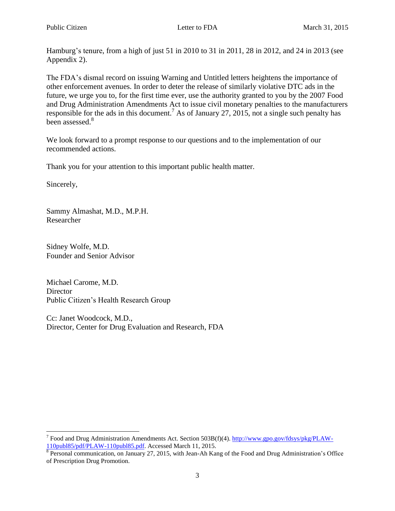Hamburg's tenure, from a high of just 51 in 2010 to 31 in 2011, 28 in 2012, and 24 in 2013 (see Appendix 2).

The FDA's dismal record on issuing Warning and Untitled letters heightens the importance of other enforcement avenues. In order to deter the release of similarly violative DTC ads in the future, we urge you to, for the first time ever, use the authority granted to you by the 2007 Food and Drug Administration Amendments Act to issue civil monetary penalties to the manufacturers responsible for the ads in this document.<sup>7</sup> As of January 27, 2015, not a single such penalty has been assessed.<sup>8</sup>

We look forward to a prompt response to our questions and to the implementation of our recommended actions.

Thank you for your attention to this important public health matter.

Sincerely,

 $\overline{\phantom{a}}$ 

Sammy Almashat, M.D., M.P.H. Researcher

Sidney Wolfe, M.D. Founder and Senior Advisor

Michael Carome, M.D. **Director** Public Citizen's Health Research Group

Cc: Janet Woodcock, M.D., Director, Center for Drug Evaluation and Research, FDA

<sup>&</sup>lt;sup>7</sup> Food and Drug Administration Amendments Act. Section 503B(f)(4). [http://www.gpo.gov/fdsys/pkg/PLAW-](http://www.gpo.gov/fdsys/pkg/PLAW-110publ85/pdf/PLAW-110publ85.pdf)[110publ85/pdf/PLAW-110publ85.pdf.](http://www.gpo.gov/fdsys/pkg/PLAW-110publ85/pdf/PLAW-110publ85.pdf) Accessed March 11, 2015.

<sup>&</sup>lt;sup>8</sup> Personal communication, on January 27, 2015, with Jean-Ah Kang of the Food and Drug Administration's Office of Prescription Drug Promotion.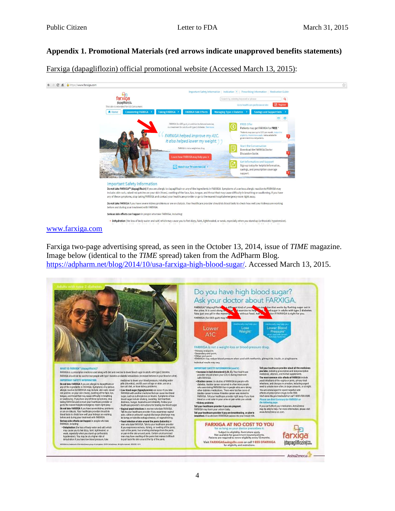## **Appendix 1. Promotional Materials (red arrows indicate unapproved benefits statements)**

Farxiga (dapagliflozin) official promotional website (Accessed March 13, 2015):



#### [www.farxiga.com](http://www.farxiga.com/)

Farxiga two-page advertising spread, as seen in the October 13, 2014, issue of *TIME* magazine. Image below (identical to the *TIME* spread) taken from the AdPharm Blog. [https://adpharm.net/blog/2014/10/usa-farxiga-high-blood-sugar/.](https://adpharm.net/blog/2014/10/usa-farxiga-high-blood-sugar/) Accessed March 13, 2015.

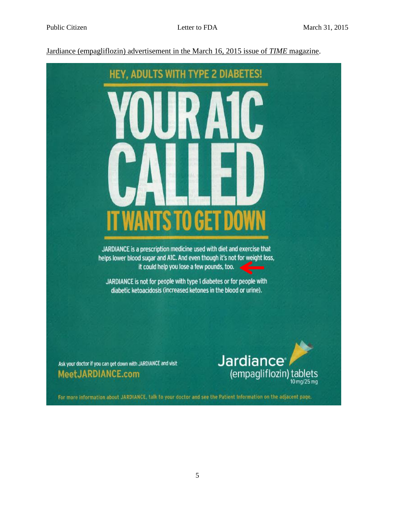Jardiance (empagliflozin) advertisement in the March 16, 2015 issue of *TIME* magazine.



Ask your doctor if you can get down with JARDIANCE and visit MeetJARDIANCE.com



For more information about JARDIANCE, talk to your doctor and see the Patient Information on the adjacent page.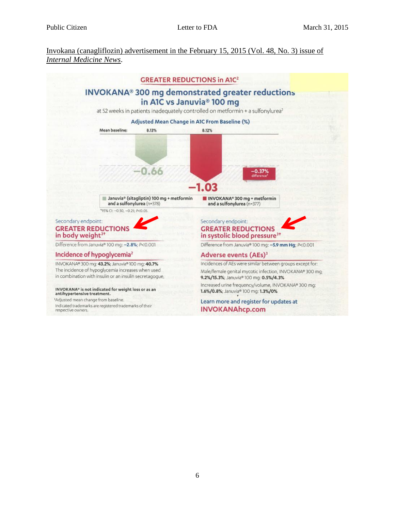Invokana (canagliflozin) advertisement in the February 15, 2015 (Vol. 48, No. 3) issue of *Internal Medicine News*.

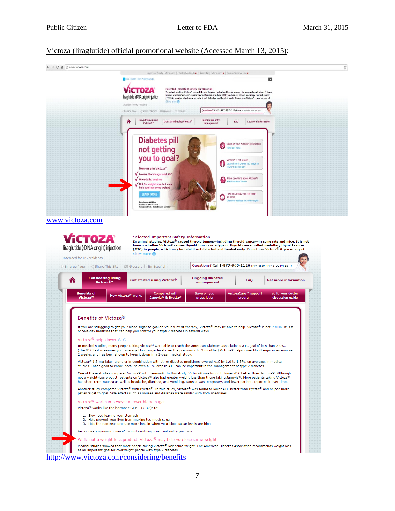#### Victoza (liraglutide) official promotional website (Accessed March 13, 2015):

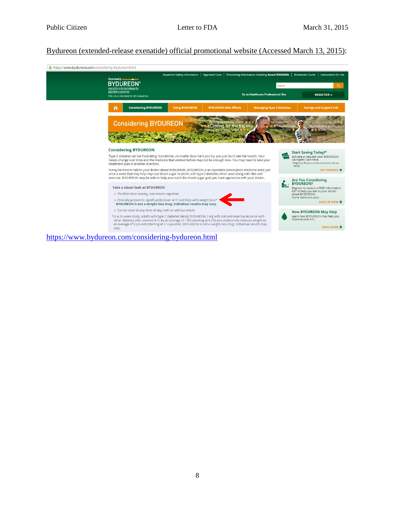### Bydureon (extended-release exenatide) official promotional website (Accessed March 13, 2015):